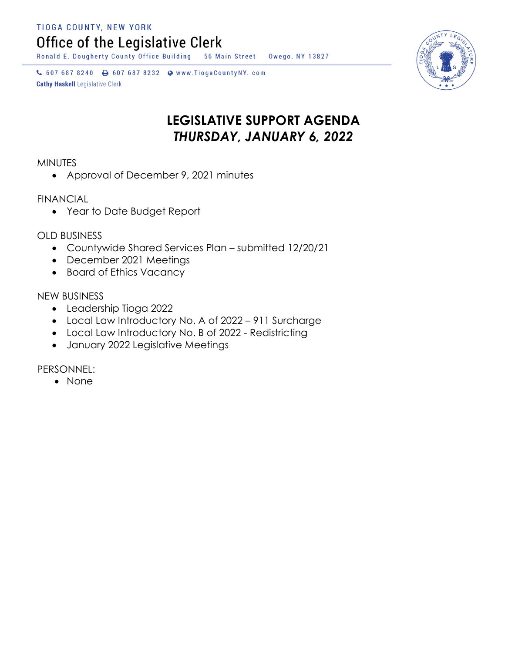TIOGA COUNTY, NEW YORK

Office of the Legislative Clerk

Ronald E. Dougherty County Office Building 56 Main Street Owego, NY 13827

↓ 607 687 8240 → 607 687 8232 → www.TiogaCountyNY.com **Cathy Haskell Legislative Clerk** 

## **LEGISLATIVE SUPPORT AGENDA** *THURSDAY, JANUARY 6, 2022*

**MINUTES** 

• Approval of December 9, 2021 minutes

FINANCIAL

Year to Date Budget Report

OLD BUSINESS

- Countywide Shared Services Plan submitted 12/20/21
- December 2021 Meetings
- Board of Ethics Vacancy

NEW BUSINESS

- Leadership Tioga 2022
- Local Law Introductory No. A of 2022 911 Surcharge
- Local Law Introductory No. B of 2022 Redistricting
- January 2022 Legislative Meetings

PERSONNEL:

• None

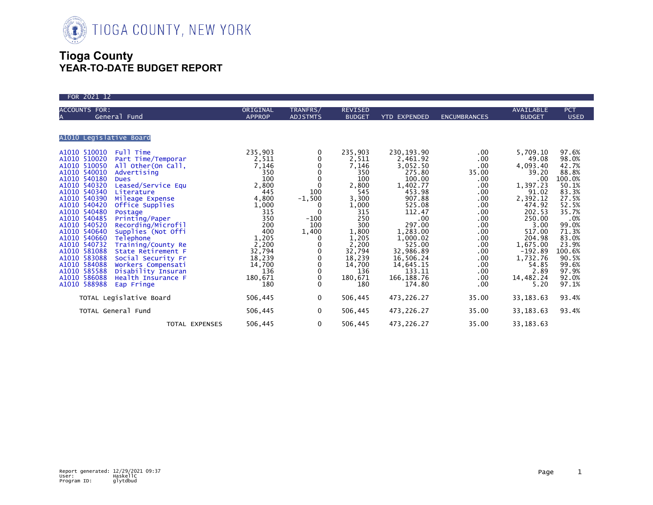

## **Tioga County YEAR-TO-DATE BUDGET REPORT**

| FOR 2021 12                                                                                                                                                                                                                                                                                                                                                                                                                                                                                                                                                                                                                                                                                                                                            |                                                                                                                                                                                |                                                                                                                          |                                                                                                                                                                                  |                                                                                                                                                                                                                                           |                                                                                                                                                     |                                                                                                                                                                                                                                  |                                                                                                                                                                                           |
|--------------------------------------------------------------------------------------------------------------------------------------------------------------------------------------------------------------------------------------------------------------------------------------------------------------------------------------------------------------------------------------------------------------------------------------------------------------------------------------------------------------------------------------------------------------------------------------------------------------------------------------------------------------------------------------------------------------------------------------------------------|--------------------------------------------------------------------------------------------------------------------------------------------------------------------------------|--------------------------------------------------------------------------------------------------------------------------|----------------------------------------------------------------------------------------------------------------------------------------------------------------------------------|-------------------------------------------------------------------------------------------------------------------------------------------------------------------------------------------------------------------------------------------|-----------------------------------------------------------------------------------------------------------------------------------------------------|----------------------------------------------------------------------------------------------------------------------------------------------------------------------------------------------------------------------------------|-------------------------------------------------------------------------------------------------------------------------------------------------------------------------------------------|
| <b>ACCOUNTS FOR:</b><br>General Fund                                                                                                                                                                                                                                                                                                                                                                                                                                                                                                                                                                                                                                                                                                                   | ORIGINAL<br><b>APPROP</b>                                                                                                                                                      | TRANFRS/<br><b>ADJSTMTS</b>                                                                                              | <b>REVISED</b><br><b>BUDGET</b>                                                                                                                                                  | <b>YTD EXPENDED</b>                                                                                                                                                                                                                       | <b>ENCUMBRANCES</b>                                                                                                                                 | <b>AVAILABLE</b><br><b>BUDGET</b>                                                                                                                                                                                                | <b>PCT</b><br><b>USED</b>                                                                                                                                                                 |
| A1010 Legislative Board                                                                                                                                                                                                                                                                                                                                                                                                                                                                                                                                                                                                                                                                                                                                |                                                                                                                                                                                |                                                                                                                          |                                                                                                                                                                                  |                                                                                                                                                                                                                                           |                                                                                                                                                     |                                                                                                                                                                                                                                  |                                                                                                                                                                                           |
| A1010 510010<br>Full Time<br>A1010 510020<br>Part Time/Temporar<br>A1010 510050<br>All Other (On Call,<br>A1010 540010<br>Advertising<br>A1010 540180<br><b>Dues</b><br>A1010 540320<br>Leased/Service Equ<br>A1010 540340<br>Literature<br>A1010 540390<br>Mileage Expense<br>A1010 540420<br>Office Supplies<br>A1010 540480<br>Postage<br>A1010 540485<br>Printing/Paper<br>A1010 540520<br>Recording/Microfil<br>A1010 540640<br>Supplies (Not Offi<br>A1010 540660<br>Telephone<br>A1010 540732<br>Training/County Re<br>A1010 581088<br>State Retirement F<br>A1010 583088<br>Social Security Fr<br>A1010 584088<br>Workers Compensati<br>A1010 585588<br>Disability Insuran<br>A1010 586088<br>Health Insurance F<br>A1010 588988<br>Eap Fringe | 235,903<br>2,511<br>7,146<br>350<br>100<br>2,800<br>445<br>4,800<br>1,000<br>315<br>350<br>200<br>400<br>1,205<br>2,200<br>32,794<br>18,239<br>14,700<br>136<br>180,671<br>180 | 0<br>0<br>0<br>0<br>0<br>$\Omega$<br>100<br>$-1,500$<br>0<br>$\Omega$<br>$-100$<br>100<br>1,400<br>0<br>0<br>0<br>0<br>0 | 235,903<br>2,511<br>7,146<br>350<br>100<br>2,800<br>545<br>3,300<br>1,000<br>315<br>250<br>300<br>1,800<br>1,205<br>2,200<br>32,794<br>18,239<br>14,700<br>136<br>180,671<br>180 | 230, 193. 90<br>2,461.92<br>3,052.50<br>275.80<br>100.00<br>1,402.77<br>453.98<br>907.88<br>525.08<br>112.47<br>.00<br>297.00<br>1,283.00<br>1,000.02<br>525.00<br>32,986.89<br>16,506.24<br>14,645.15<br>133.11<br>166, 188.76<br>174.80 | .00<br>.00<br>.00<br>35.00<br>.00<br>.00<br>.00<br>.00<br>.00.<br>.00<br>.00<br>.00<br>.00<br>.00<br>.00<br>.00<br>.00<br>.00.<br>.00<br>.00<br>.00 | 5,709.10<br>49.08<br>4,093.40<br>39.20<br>.00 <sub>1</sub><br>1,397.23<br>91.02<br>2,392.12<br>474.92<br>202.53<br>250.00<br>3.00<br>517.00<br>204.98<br>1,675.00<br>$-192.89$<br>1,732.76<br>54.85<br>2.89<br>14,482.24<br>5.20 | 97.6%<br>98.0%<br>42.7%<br>88.8%<br>100.0%<br>50.1%<br>83.3%<br>27.5%<br>52.5%<br>35.7%<br>.0%<br>99.0%<br>71.3%<br>83.0%<br>23.9%<br>100.6%<br>90.5%<br>99.6%<br>97.9%<br>92.0%<br>97.1% |
| TOTAL Legislative Board                                                                                                                                                                                                                                                                                                                                                                                                                                                                                                                                                                                                                                                                                                                                | 506,445                                                                                                                                                                        | 0                                                                                                                        | 506,445                                                                                                                                                                          | 473,226.27                                                                                                                                                                                                                                | 35.00                                                                                                                                               | 33, 183. 63                                                                                                                                                                                                                      | 93.4%                                                                                                                                                                                     |
| TOTAL General Fund                                                                                                                                                                                                                                                                                                                                                                                                                                                                                                                                                                                                                                                                                                                                     | 506,445                                                                                                                                                                        | $\mathbf{0}$                                                                                                             | 506,445                                                                                                                                                                          | 473,226.27                                                                                                                                                                                                                                | 35.00                                                                                                                                               | 33, 183. 63                                                                                                                                                                                                                      | 93.4%                                                                                                                                                                                     |
| TOTAL EXPENSES                                                                                                                                                                                                                                                                                                                                                                                                                                                                                                                                                                                                                                                                                                                                         | 506,445                                                                                                                                                                        | $\mathbf 0$                                                                                                              | 506,445                                                                                                                                                                          | 473,226.27                                                                                                                                                                                                                                | 35.00                                                                                                                                               | 33, 183. 63                                                                                                                                                                                                                      |                                                                                                                                                                                           |